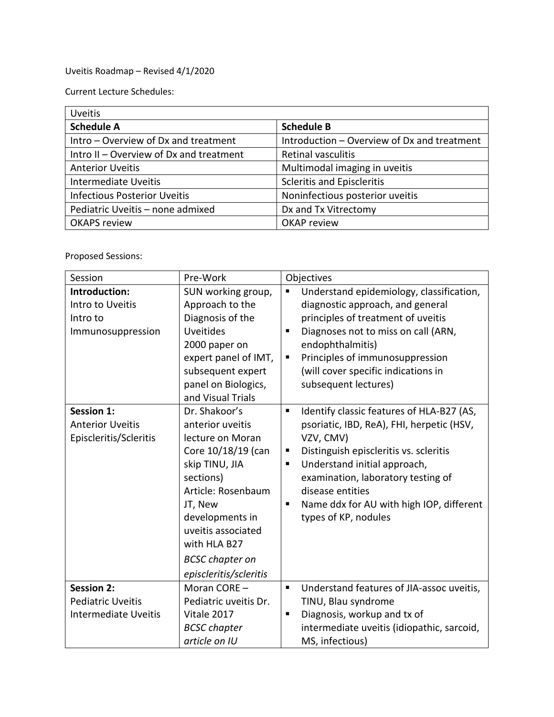Uveitis Roadmap – Revised 4/1/2020

Current Lecture Schedules:

| <b>Uveitis</b>                          |                                             |  |
|-----------------------------------------|---------------------------------------------|--|
| <b>Schedule A</b>                       | <b>Schedule B</b>                           |  |
| Intro - Overview of Dx and treatment    | Introduction - Overview of Dx and treatment |  |
| Intro II - Overview of Dx and treatment | <b>Retinal vasculitis</b>                   |  |
| <b>Anterior Uveitis</b>                 | Multimodal imaging in uveitis               |  |
| Intermediate Uveitis                    | <b>Scleritis and Episcleritis</b>           |  |
| <b>Infectious Posterior Uveitis</b>     | Noninfectious posterior uveitis             |  |
| Pediatric Uveitis - none admixed        | Dx and Tx Vitrectomy                        |  |
| <b>OKAPS review</b>                     | OKAP review                                 |  |

Proposed Sessions:

| Session                                                                      | Pre-Work                                                                                                                                                                                                                                                 | Objectives                                                                                                                                                                                                                                                                                                                      |
|------------------------------------------------------------------------------|----------------------------------------------------------------------------------------------------------------------------------------------------------------------------------------------------------------------------------------------------------|---------------------------------------------------------------------------------------------------------------------------------------------------------------------------------------------------------------------------------------------------------------------------------------------------------------------------------|
| Introduction:<br>Intro to Uveitis<br>Intro to<br>Immunosuppression           | SUN working group,<br>Approach to the<br>Diagnosis of the<br><b>Uveitides</b><br>2000 paper on<br>expert panel of IMT,<br>subsequent expert<br>panel on Biologics,<br>and Visual Trials                                                                  | Understand epidemiology, classification,<br>П<br>diagnostic approach, and general<br>principles of treatment of uveitis<br>Diagnoses not to miss on call (ARN,<br>п<br>endophthalmitis)<br>Principles of immunosuppression<br>п<br>(will cover specific indications in<br>subsequent lectures)                                  |
| <b>Session 1:</b><br><b>Anterior Uveitis</b><br>Episcleritis/Scleritis       | Dr. Shakoor's<br>anterior uveitis<br>lecture on Moran<br>Core 10/18/19 (can<br>skip TINU, JIA<br>sections)<br>Article: Rosenbaum<br>JT, New<br>developments in<br>uveitis associated<br>with HLA B27<br><b>BCSC</b> chapter on<br>episcleritis/scleritis | Identify classic features of HLA-B27 (AS,<br>П<br>psoriatic, IBD, ReA), FHI, herpetic (HSV,<br>VZV, CMV)<br>Distinguish episcleritis vs. scleritis<br>п<br>Understand initial approach,<br>ш<br>examination, laboratory testing of<br>disease entities<br>Name ddx for AU with high IOP, different<br>٠<br>types of KP, nodules |
| <b>Session 2:</b><br><b>Pediatric Uveitis</b><br><b>Intermediate Uveitis</b> | Moran CORE -<br>Pediatric uveitis Dr.<br>Vitale 2017<br><b>BCSC</b> chapter<br>article on IU                                                                                                                                                             | Understand features of JIA-assoc uveitis,<br>п<br>TINU, Blau syndrome<br>Diagnosis, workup and tx of<br>П<br>intermediate uveitis (idiopathic, sarcoid,<br>MS, infectious)                                                                                                                                                      |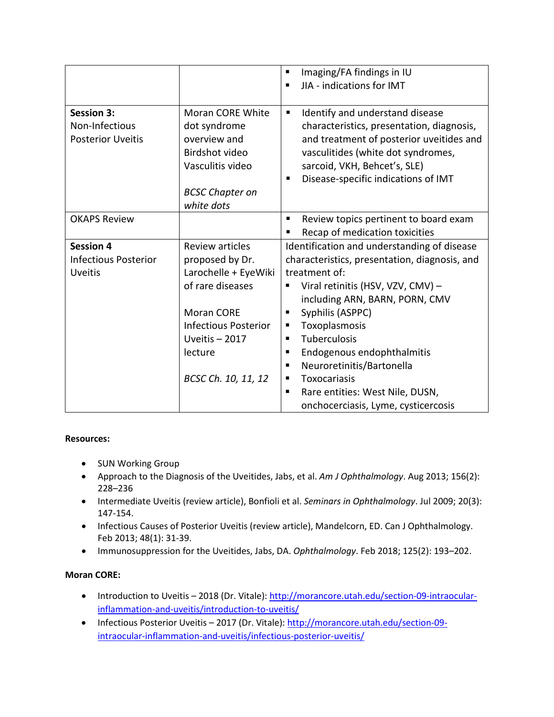|                             |                             | Imaging/FA findings in IU<br>п                |
|-----------------------------|-----------------------------|-----------------------------------------------|
|                             |                             | JIA - indications for IMT<br>п                |
|                             |                             |                                               |
| <b>Session 3:</b>           | Moran CORE White            | Identify and understand disease<br>п          |
| Non-Infectious              | dot syndrome                | characteristics, presentation, diagnosis,     |
| <b>Posterior Uveitis</b>    | overview and                | and treatment of posterior uveitides and      |
|                             | Birdshot video              | vasculitides (white dot syndromes,            |
|                             | Vasculitis video            | sarcoid, VKH, Behcet's, SLE)                  |
|                             |                             | Disease-specific indications of IMT<br>п      |
|                             | <b>BCSC Chapter on</b>      |                                               |
|                             | white dots                  |                                               |
| <b>OKAPS Review</b>         |                             | Review topics pertinent to board exam<br>٠    |
|                             |                             | Recap of medication toxicities<br>п           |
| <b>Session 4</b>            | <b>Review articles</b>      | Identification and understanding of disease   |
| <b>Infectious Posterior</b> | proposed by Dr.             | characteristics, presentation, diagnosis, and |
| <b>Uveitis</b>              | Larochelle + EyeWiki        | treatment of:                                 |
|                             | of rare diseases            | Viral retinitis (HSV, VZV, CMV) -             |
|                             |                             | including ARN, BARN, PORN, CMV                |
|                             | <b>Moran CORE</b>           | Syphilis (ASPPC)<br>п                         |
|                             | <b>Infectious Posterior</b> | Toxoplasmosis<br>п                            |
|                             | Uveitis $-2017$             | Tuberculosis<br>п                             |
|                             | lecture                     | Endogenous endophthalmitis<br>п               |
|                             |                             | Neuroretinitis/Bartonella<br>п                |
|                             | BCSC Ch. 10, 11, 12         | Toxocariasis<br>п                             |
|                             |                             | Rare entities: West Nile, DUSN,<br>п          |
|                             |                             | onchocerciasis, Lyme, cysticercosis           |

# **Resources:**

- SUN Working Group
- Approach to the Diagnosis of the Uveitides, Jabs, et al. *Am J Ophthalmology*. Aug 2013; 156(2): 228–236
- Intermediate Uveitis (review article), Bonfioli et al. *Seminars in Ophthalmology*. Jul 2009; 20(3): 147-154.
- Infectious Causes of Posterior Uveitis (review article), Mandelcorn, ED. Can J Ophthalmology. Feb 2013; 48(1): 31-39.
- Immunosuppression for the Uveitides, Jabs, DA. *Ophthalmology*. Feb 2018; 125(2): 193–202.

# **Moran CORE:**

- Introduction to Uveitis 2018 (Dr. Vitale): [http://morancore.utah.edu/section-09-intraocular](http://morancore.utah.edu/section-09-intraocular-inflammation-and-uveitis/introduction-to-uveitis/)[inflammation-and-uveitis/introduction-to-uveitis/](http://morancore.utah.edu/section-09-intraocular-inflammation-and-uveitis/introduction-to-uveitis/)
- Infectious Posterior Uveitis 2017 (Dr. Vitale)[: http://morancore.utah.edu/section-09](http://morancore.utah.edu/section-09-intraocular-inflammation-and-uveitis/infectious-posterior-uveitis/) [intraocular-inflammation-and-uveitis/infectious-posterior-uveitis/](http://morancore.utah.edu/section-09-intraocular-inflammation-and-uveitis/infectious-posterior-uveitis/)